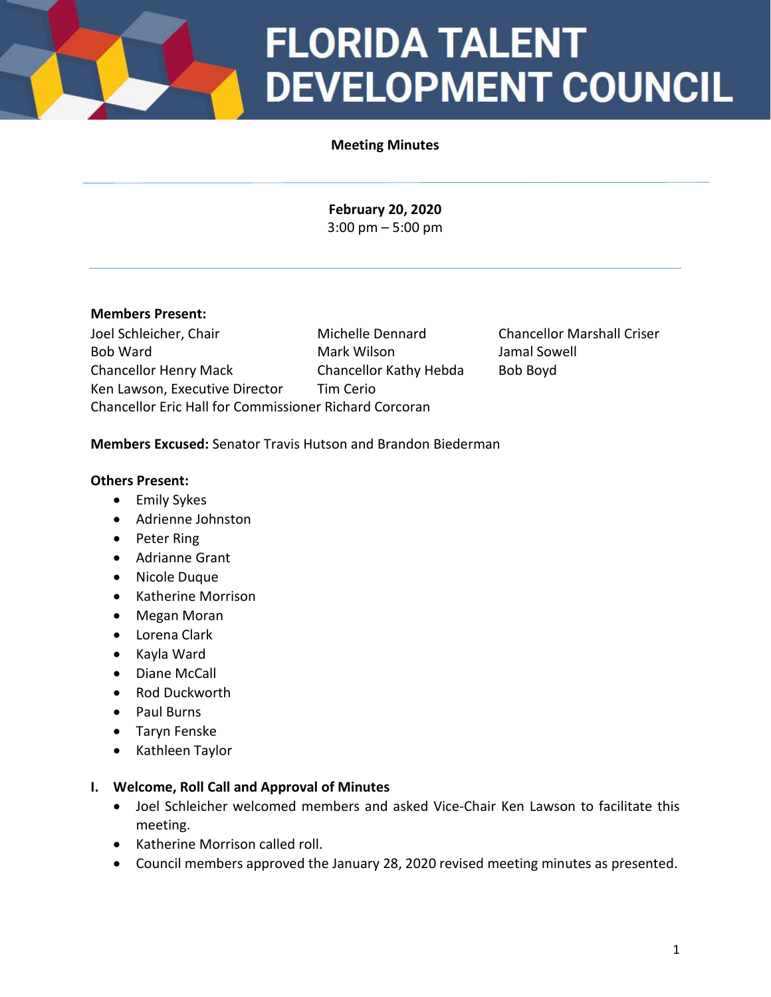## **FLORIDA TALENT DEVELOPMENT COUNCIL**

### **Meeting Minutes**

**February 20, 2020** 3:00 pm – 5:00 pm

### **Members Present:**

Joel Schleicher, Chair Michelle Dennard Chancellor Marshall Criser Bob Ward Mark Wilson Jamal Sowell Chancellor Henry Mack Chancellor Kathy Hebda Bob Boyd Ken Lawson, Executive Director Tim Cerio Chancellor Eric Hall for Commissioner Richard Corcoran

### **Members Excused:** Senator Travis Hutson and Brandon Biederman

### **Others Present:**

- Emily Sykes
- Adrienne Johnston
- Peter Ring
- Adrianne Grant
- Nicole Duque
- Katherine Morrison
- Megan Moran
- Lorena Clark
- Kayla Ward
- Diane McCall
- Rod Duckworth
- Paul Burns
- Taryn Fenske
- Kathleen Taylor

### **I. Welcome, Roll Call and Approval of Minutes**

- Joel Schleicher welcomed members and asked Vice-Chair Ken Lawson to facilitate this meeting.
- Katherine Morrison called roll.
- Council members approved the January 28, 2020 revised meeting minutes as presented.